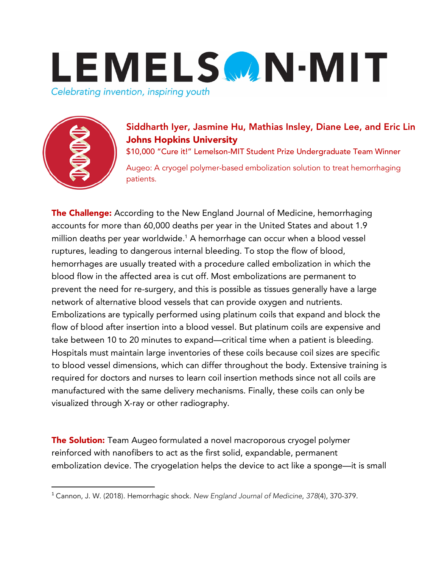



## Siddharth Iyer, Jasmine Hu, Mathias Insley, Diane Lee, and Eric Lin Johns Hopkins University

\$10,000 "Cure it!" Lemelson-MIT Student Prize Undergraduate Team Winner

Augeo: A cryogel polymer-based embolization solution to treat hemorrhaging patients.

**The Challenge:** According to the New England Journal of Medicine, hemorrhaging accounts for more than 60,000 deaths per year in the United States and about 1.9 million deaths per year worldwide.<sup>1</sup> A hemorrhage can occur when a blood vessel ruptures, leading to dangerous internal bleeding. To stop the flow of blood, hemorrhages are usually treated with a procedure called embolization in which the blood flow in the affected area is cut off. Most embolizations are permanent to prevent the need for re-surgery, and this is possible as tissues generally have a large network of alternative blood vessels that can provide oxygen and nutrients. Embolizations are typically performed using platinum coils that expand and block the flow of blood after insertion into a blood vessel. But platinum coils are expensive and take between 10 to 20 minutes to expand—critical time when a patient is bleeding. Hospitals must maintain large inventories of these coils because coil sizes are specific to blood vessel dimensions, which can differ throughout the body. Extensive training is required for doctors and nurses to learn coil insertion methods since not all coils are manufactured with the same delivery mechanisms. Finally, these coils can only be visualized through X-ray or other radiography.

The Solution: Team Augeo formulated a novel macroporous cryogel polymer reinforced with nanofibers to act as the first solid, expandable, permanent embolization device. The cryogelation helps the device to act like a sponge—it is small

 <sup>1</sup> Cannon, J. W. (2018). Hemorrhagic shock. *New England Journal of Medicine*, *<sup>378</sup>*(4), 370-379.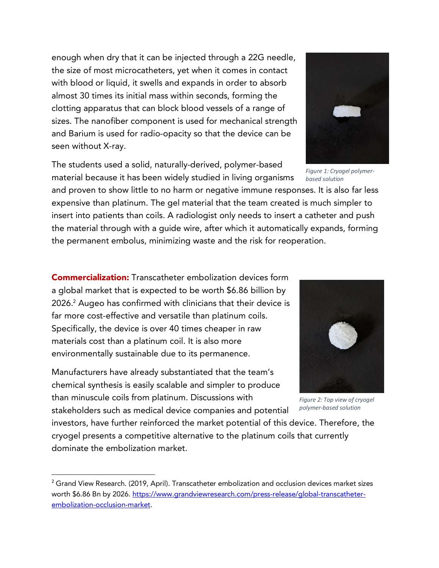enough when dry that it can be injected through a 22G needle, the size of most microcatheters, yet when it comes in contact with blood or liquid, it swells and expands in order to absorb almost 30 times its initial mass within seconds, forming the clotting apparatus that can block blood vessels of a range of sizes. The nanofiber component is used for mechanical strength and Barium is used for radio-opacity so that the device can be seen without X-ray.

The students used a solid, naturally-derived, polymer-based material because it has been widely studied in living organisms

and proven to show little to no harm or negative immune responses. It is also far less expensive than platinum. The gel material that the team created is much simpler to insert into patients than coils. A radiologist only needs to insert a catheter and push the material through with a guide wire, after which it automatically expands, forming the permanent embolus, minimizing waste and the risk for reoperation.

Commercialization: Transcatheter embolization devices form a global market that is expected to be worth \$6.86 billion by 2026. <sup>2</sup> Augeo has confirmed with clinicians that their device is far more cost-effective and versatile than platinum coils. Specifically, the device is over 40 times cheaper in raw materials cost than a platinum coil. It is also more environmentally sustainable due to its permanence.

Manufacturers have already substantiated that the team's chemical synthesis is easily scalable and simpler to produce than minuscule coils from platinum. Discussions with stakeholders such as medical device companies and potential

investors, have further reinforced the market potential of this device. Therefore, the cryogel presents a competitive alternative to the platinum coils that currently dominate the embolization market.

*Figure 1: Cryogel polymerbased solution* 







 $2$  Grand View Research. (2019, April). Transcatheter embolization and occlusion devices market sizes worth \$6.86 Bn by 2026. https://www.grandviewresearch.com/press-release/global-transcatheterembolization-occlusion-market.